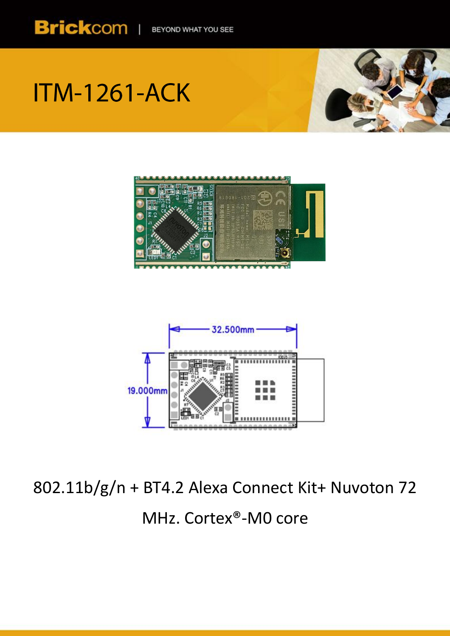

# **ITM-1261-ACK**





802.11b/g/n + BT4.2 Alexa Connect Kit+ Nuvoton 72 MHz. Cortex®-M0 core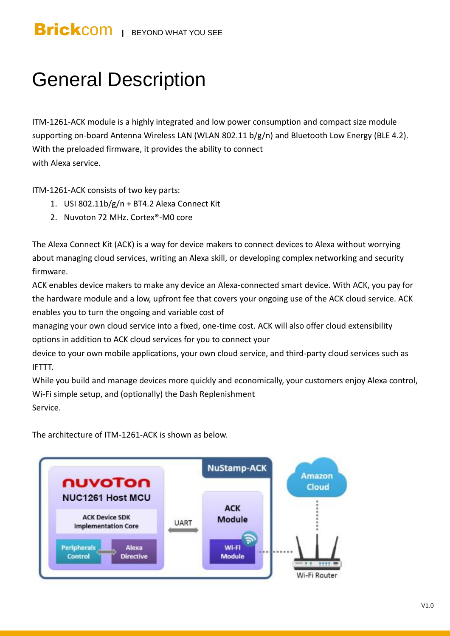## General Description

ITM-1261-ACK module is a highly integrated and low power consumption and compact size module supporting on-board Antenna Wireless LAN (WLAN 802.11 b/g/n) and Bluetooth Low Energy (BLE 4.2). With the preloaded firmware, it provides the ability to connect with Alexa service.

ITM-1261-ACK consists of two key parts:

- 1. USI 802.11b/g/n + BT4.2 Alexa Connect Kit
- 2. Nuvoton 72 MHz. Cortex®-M0 core

The Alexa Connect Kit (ACK) is a way for device makers to connect devices to Alexa without worrying about managing cloud services, writing an Alexa skill, or developing complex networking and security firmware.

ACK enables device makers to make any device an Alexa-connected smart device. With ACK, you pay for the hardware module and a low, upfront fee that covers your ongoing use of the ACK cloud service. ACK enables you to turn the ongoing and variable cost of

managing your own cloud service into a fixed, one-time cost. ACK will also offer cloud extensibility options in addition to ACK cloud services for you to connect your

device to your own mobile applications, your own cloud service, and third-party cloud services such as IFTTT.

While you build and manage devices more quickly and economically, your customers enjoy Alexa control, Wi-Fi simple setup, and (optionally) the Dash Replenishment Service.

The architecture of ITM-1261-ACK is shown as below.

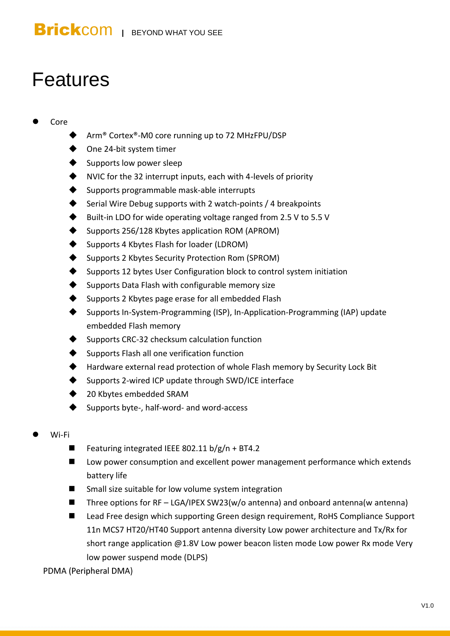## Features

#### Core

- Arm® Cortex®-M0 core running up to 72 MHzFPU/DSP
- ◆ One 24-bit system timer
- Supports low power sleep
- NVIC for the 32 interrupt inputs, each with 4-levels of priority
- Supports programmable mask-able interrupts
- Serial Wire Debug supports with 2 watch-points / 4 breakpoints
- Built-in LDO for wide operating voltage ranged from 2.5 V to 5.5 V
- Supports 256/128 Kbytes application ROM (APROM)
- Supports 4 Kbytes Flash for loader (LDROM)
- Supports 2 Kbytes Security Protection Rom (SPROM)
- Supports 12 bytes User Configuration block to control system initiation
- Supports Data Flash with configurable memory size
- Supports 2 Kbytes page erase for all embedded Flash
- Supports In-System-Programming (ISP), In-Application-Programming (IAP) update embedded Flash memory
- Supports CRC-32 checksum calculation function
- Supports Flash all one verification function
- Hardware external read protection of whole Flash memory by Security Lock Bit
- Supports 2-wired ICP update through SWD/ICE interface
- 20 Kbytes embedded SRAM
- Supports byte-, half-word- and word-access
- Wi-Fi
	- Featuring integrated IEEE 802.11  $b/g/n + BT4.2$
	- Low power consumption and excellent power management performance which extends battery life
	- Small size suitable for low volume system integration
	- Three options for  $RF LGA/IPEX SW23(w/o)$  antenna) and onboard antenna(w antenna)
	- Lead Free design which supporting Green design requirement, RoHS Compliance Support 11n MCS7 HT20/HT40 Support antenna diversity Low power architecture and Tx/Rx for short range application @1.8V Low power beacon listen mode Low power Rx mode Very low power suspend mode (DLPS)
	- PDMA (Peripheral DMA)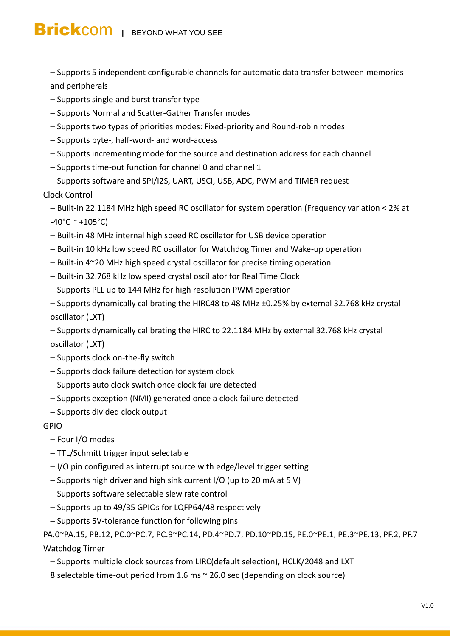– Supports 5 independent configurable channels for automatic data transfer between memories and peripherals

- Supports single and burst transfer type
- Supports Normal and Scatter-Gather Transfer modes
- Supports two types of priorities modes: Fixed-priority and Round-robin modes
- Supports byte-, half-word- and word-access
- Supports incrementing mode for the source and destination address for each channel
- Supports time-out function for channel 0 and channel 1
- Supports software and SPI/I2S, UART, USCI, USB, ADC, PWM and TIMER request

#### **Clock Control**

- Built-in 22.1184 MHz high speed RC oscillator for system operation (Frequency variation < 2% at  $-40^{\circ}$ C ~ +105 $^{\circ}$ C)
- Built-in 48 MHz internal high speed RC oscillator for USB device operation
- Built-in 10 kHz low speed RC oscillator for Watchdog Timer and Wake-up operation
- Built-in 4~20 MHz high speed crystal oscillator for precise timing operation
- Built-in 32.768 kHz low speed crystal oscillator for Real Time Clock
- Supports PLL up to 144 MHz for high resolution PWM operation
- Supports dynamically calibrating the HIRC48 to 48 MHz ±0.25% by external 32.768 kHz crystal oscillator (LXT)
- Supports dynamically calibrating the HIRC to 22.1184 MHz by external 32.768 kHz crystal oscillator (LXT)
- Supports clock on-the-fly switch
- Supports clock failure detection for system clock
- Supports auto clock switch once clock failure detected
- Supports exception (NMI) generated once a clock failure detected
- Supports divided clock output

#### **GPIO**

#### – Four I/O modes

- TTL/Schmitt trigger input selectable
- I/O pin configured as interrupt source with edge/level trigger setting
- Supports high driver and high sink current I/O (up to 20 mA at 5 V)
- Supports software selectable slew rate control
- Supports up to 49/35 GPIOs for LQFP64/48 respectively
- Supports 5V-tolerance function for following pins

PA.0~PA.15, PB.12, PC.0~PC.7, PC.9~PC.14, PD.4~PD.7, PD.10~PD.15, PE.0~PE.1, PE.3~PE.13, PF.2, PF.7 **Watchdog Timer** 

– Supports multiple clock sources from LIRC(default selection), HCLK/2048 and LXT

8 selectable time-out period from 1.6 ms ~ 26.0 sec (depending on clock source)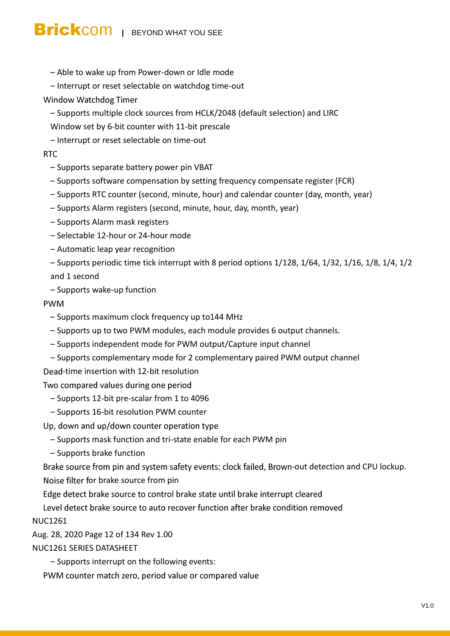- Able to wake up from Power-down or Idle mode
- Interrupt or reset selectable on watchdog time-out

#### Window Watchdog Timer

- Supports multiple clock sources from HCLK/2048 (default selection) and LIRC
- Window set by 6-bit counter with 11-bit prescale
- Interrupt or reset selectable on time-out

#### **RTC**

- Supports separate battery power pin VBAT
- Supports software compensation by setting frequency compensate register (FCR)
- Supports RTC counter (second, minute, hour) and calendar counter (day, month, year)
- Supports Alarm registers (second, minute, hour, day, month, year)
- Supports Alarm mask registers
- Selectable 12-hour or 24-hour mode
- Automatic leap year recognition
- Supports periodic time tick interrupt with 8 period options 1/128, 1/64, 1/32, 1/16, 1/8, 1/4, 1/2 and 1 second
- Supports wake-up function

#### **PWM**

- Supports maximum clock frequency up to144 MHz
- Supports up to two PWM modules, each module provides 6 output channels.
- Supports independent mode for PWM output/Capture input channel
- Supports complementary mode for 2 complementary paired PWM output channel
- Dead-time insertion with 12-bit resolution

Two compared values during one period

- Supports 12-bit pre-scalar from 1 to 4096
- Supports 16-bit resolution PWM counter
- Up, down and up/down counter operation type
	- Supports mask function and tri-state enable for each PWM pin
	- Supports brake function

Brake source from pin and system safety events: clock failed, Brown-out detection and CPU lockup.

Noise filter for brake source from pin

Edge detect brake source to control brake state until brake interrupt cleared

Level detect brake source to auto recover function after brake condition removed

NUC1261

Aug. 28, 2020 Page 12 of 134 Rev 1.00

#### NUC1261 SERIES DATASHEET

– Supports interrupt on the following events:

PWM counter match zero, period value or compared value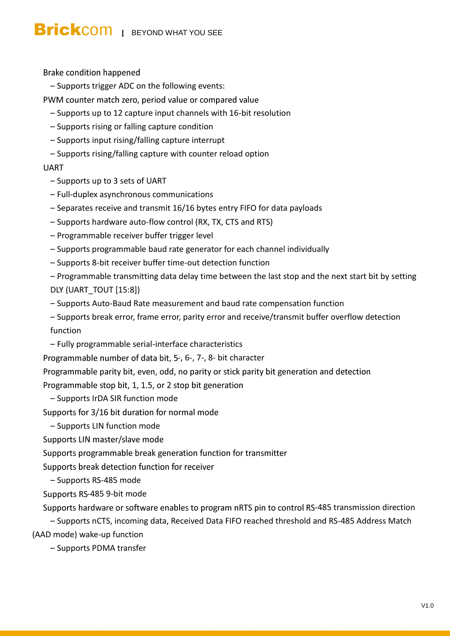Brake condition happened

- Supports trigger ADC on the following events:
- PWM counter match zero, period value or compared value
	- Supports up to 12 capture input channels with 16-bit resolution
	- Supports rising or falling capture condition
	- Supports input rising/falling capture interrupt
	- Supports rising/falling capture with counter reload option

#### **UART**

- Supports up to 3 sets of UART
- Full-duplex asynchronous communications
- Separates receive and transmit 16/16 bytes entry FIFO for data payloads
- Supports hardware auto-flow control (RX, TX, CTS and RTS)
- Programmable receiver buffer trigger level
- Supports programmable baud rate generator for each channel individually
- Supports 8-bit receiver buffer time-out detection function
- Programmable transmitting data delay time between the last stop and the next start bit by setting DLY (UART\_TOUT [15:8])
- Supports Auto-Baud Rate measurement and baud rate compensation function
- Supports break error, frame error, parity error and receive/transmit buffer overflow detection function
- Fully programmable serial-interface characteristics
- Programmable number of data bit, 5-, 6-, 7-, 8- bit character
- Programmable parity bit, even, odd, no parity or stick parity bit generation and detection

Programmable stop bit, 1, 1.5, or 2 stop bit generation

- Supports IrDA SIR function mode
- Supports for 3/16 bit duration for normal mode
- Supports LIN function mode

Supports LIN master/slave mode

Supports programmable break generation function for transmitter

Supports break detection function for receiver

– Supports RS-485 mode

Supports RS-485 9-bit mode

Supports hardware or software enables to program nRTS pin to control RS-485 transmission direction

– Supports nCTS, incoming data, Received Data FIFO reached threshold and RS-485 Address Match (AAD mode) wake-up function

– Supports PDMA transfer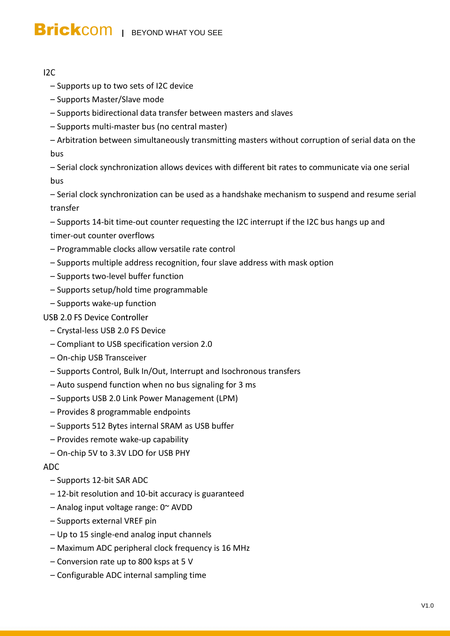#### $12C$

- Supports up to two sets of I2C device
- Supports Master/Slave mode
- Supports bidirectional data transfer between masters and slaves
- Supports multi-master bus (no central master)
- Arbitration between simultaneously transmitting masters without corruption of serial data on the bus

– Serial clock synchronization allows devices with different bit rates to communicate via one serial bus

– Serial clock synchronization can be used as a handshake mechanism to suspend and resume serial transfer

– Supports 14-bit time-out counter requesting the I2C interrupt if the I2C bus hangs up and timer-out counter overflows

- Programmable clocks allow versatile rate control
- Supports multiple address recognition, four slave address with mask option
- Supports two-level buffer function
- Supports setup/hold time programmable
- Supports wake-up function

#### **USB 2.0 FS Device Controller**

- Crystal-less USB 2.0 FS Device
- Compliant to USB specification version 2.0
- On-chip USB Transceiver
- Supports Control, Bulk In/Out, Interrupt and Isochronous transfers
- Auto suspend function when no bus signaling for 3 ms
- Supports USB 2.0 Link Power Management (LPM)
- Provides 8 programmable endpoints
- Supports 512 Bytes internal SRAM as USB buffer
- Provides remote wake-up capability
- On-chip 5V to 3.3V LDO for USB PHY

#### **ADC**

- Supports 12-bit SAR ADC
- 12-bit resolution and 10-bit accuracy is guaranteed
- Analog input voltage range: 0~ AVDD
- Supports external VREF pin
- Up to 15 single-end analog input channels
- Maximum ADC peripheral clock frequency is 16 MHz
- Conversion rate up to 800 ksps at 5 V
- Configurable ADC internal sampling time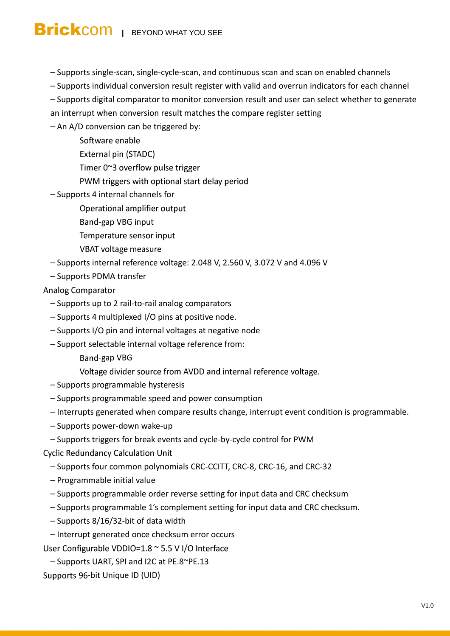- Supports single-scan, single-cycle-scan, and continuous scan and scan on enabled channels
- Supports individual conversion result register with valid and overrun indicators for each channel
- Supports digital comparator to monitor conversion result and user can select whether to generate
- an interrupt when conversion result matches the compare register setting
- An A/D conversion can be triggered by:
	- Software enable
	- External pin (STADC)
	- Timer 0~3 overflow pulse trigger
	- PWM triggers with optional start delay period
- Supports 4 internal channels for
	- Operational amplifier output
	- Band-gap VBG input
	- Temperature sensor input
	- VBAT voltage measure
- Supports internal reference voltage: 2.048 V, 2.560 V, 3.072 V and 4.096 V
- Supports PDMA transfer

#### **Analog Comparator**

- Supports up to 2 rail-to-rail analog comparators
- Supports 4 multiplexed I/O pins at positive node.
- Supports I/O pin and internal voltages at negative node
- Support selectable internal voltage reference from:
	- Band-gap VBG

Voltage divider source from AVDD and internal reference voltage.

- Supports programmable hysteresis
- Supports programmable speed and power consumption
- Interrupts generated when compare results change, interrupt event condition is programmable.
- Supports power-down wake-up
- Supports triggers for break events and cycle-by-cycle control for PWM
- **Cyclic Redundancy Calculation Unit** 
	- Supports four common polynomials CRC-CCITT, CRC-8, CRC-16, and CRC-32
	- Programmable initial value
	- Supports programmable order reverse setting for input data and CRC checksum
	- Supports programmable 1's complement setting for input data and CRC checksum.
	- Supports 8/16/32-bit of data width
- Interrupt generated once checksum error occurs
- User Configurable VDDIO=1.8 ~ 5.5 V I/O Interface
- Supports UART, SPI and I2C at PE.8~PE.13

Supports 96-bit Unique ID (UID)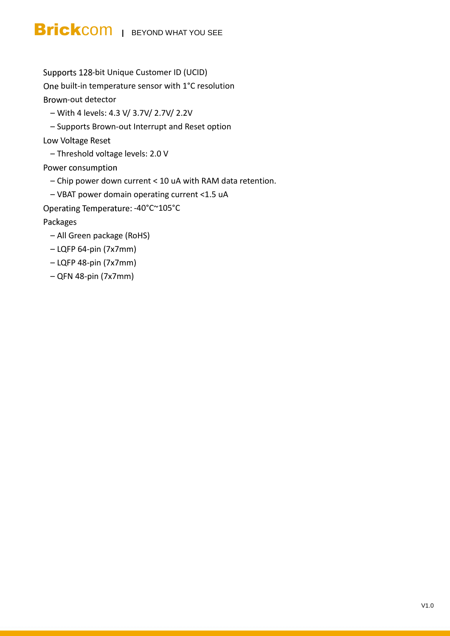Supports 128-bit Unique Customer ID (UCID)

One built-in temperature sensor with 1°C resolution

Brown-out detector

– With 4 levels: 4.3 V/ 3.7V/ 2.7V/ 2.2V

– Supports Brown-out Interrupt and Reset option

Low Voltage Reset

– Threshold voltage levels: 2.0 V

Power consumption

– Chip power down current < 10 uA with RAM data retention.

– VBAT power domain operating current <1.5 uA

Operating Temperature: -40°C~105°C

Packages

- All Green package (RoHS)
- LQFP 64-pin (7x7mm)
- LQFP 48-pin (7x7mm)
- QFN 48-pin (7x7mm)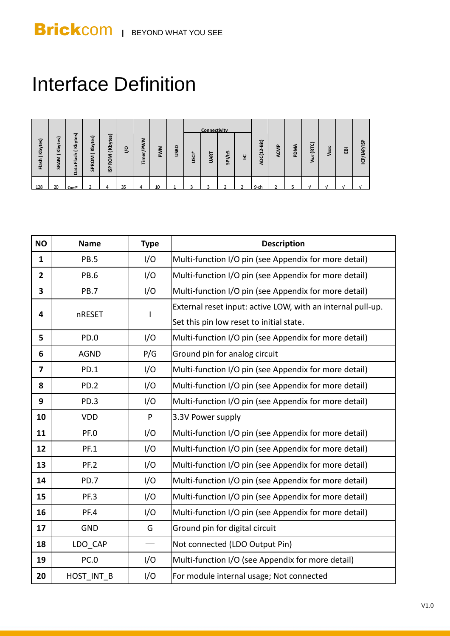## Interface Definition

|                                              |                  |                                                                                |                                                        |                                                                              |    |           |            |             |       | <b>Connectivity</b> |         |    |                                       |      |      |                       |       |   |                 |
|----------------------------------------------|------------------|--------------------------------------------------------------------------------|--------------------------------------------------------|------------------------------------------------------------------------------|----|-----------|------------|-------------|-------|---------------------|---------|----|---------------------------------------|------|------|-----------------------|-------|---|-----------------|
| Kbytes)<br>$\overline{\phantom{0}}$<br>Flash | (Kbytes)<br>SRAM | tes)<br>$\tilde{\mathbf{5}}$<br>$\overline{\phantom{0}}$<br>lash<br>Œ.<br>Data | ัด<br>g<br>중<br>$\overline{\phantom{0}}$<br>Σ<br>SPROI | ్<br>e,<br>Kby<br>$\overline{\phantom{0}}$<br>≂<br>ے<br><b>Q</b><br><u>s</u> | ୧  | Timer/PWM | <b>PWM</b> | <b>USBD</b> | USCI* | <b>UART</b>         | SPI/12S | ۲ī | -Bit)<br>$\dot{\mathbf{r}}$<br>ADC(1) | ACMP | PDMA | (RTC)<br><b>V</b> ват | Voolo | 夁 | /ISP<br>ICP/IAP |
| 128                                          | 20               | Conf*                                                                          |                                                        |                                                                              | 35 |           |            |             |       |                     |         |    | $9 - c$                               |      |      |                       |       |   |                 |

| Flash (Kbytes) | SRAM (Kbytes)                           | Data Flash (Kbytes) | SPROM (Kbytes)   | ISP ROM (Kbytes) | $\overline{6}$                                                                                                 | Timer/PWM | <b>PWM</b>                                                                                              | <b>USBD</b>                                           | USCI* | <b>UART</b> | SPI/12S                        | 71 | ADC(12-Bit) | ACMP                                                  | PDMA                                                  | VBAT (RTC) | Voolo | $\overline{\mathbf{e}}$                               | ICP/IAP/ISP |  |
|----------------|-----------------------------------------|---------------------|------------------|------------------|----------------------------------------------------------------------------------------------------------------|-----------|---------------------------------------------------------------------------------------------------------|-------------------------------------------------------|-------|-------------|--------------------------------|----|-------------|-------------------------------------------------------|-------------------------------------------------------|------------|-------|-------------------------------------------------------|-------------|--|
|                |                                         |                     |                  |                  |                                                                                                                |           |                                                                                                         |                                                       |       |             |                                |    |             |                                                       |                                                       |            |       |                                                       |             |  |
| 128            | 20                                      | $Conf*$             |                  |                  | 35                                                                                                             |           | 10 <sup>10</sup>                                                                                        |                                                       |       |             |                                |    | 9-ch        |                                                       | 5                                                     |            |       |                                                       |             |  |
|                |                                         |                     |                  |                  |                                                                                                                |           |                                                                                                         |                                                       |       |             |                                |    |             |                                                       |                                                       |            |       |                                                       |             |  |
|                |                                         |                     |                  |                  |                                                                                                                |           |                                                                                                         |                                                       |       |             |                                |    |             |                                                       |                                                       |            |       |                                                       |             |  |
|                | <b>NO</b><br><b>Type</b><br><b>Name</b> |                     |                  |                  |                                                                                                                |           |                                                                                                         |                                                       |       |             |                                |    |             |                                                       |                                                       |            |       |                                                       |             |  |
|                |                                         |                     |                  |                  | <b>Description</b>                                                                                             |           |                                                                                                         |                                                       |       |             |                                |    |             |                                                       |                                                       |            |       |                                                       |             |  |
| $\mathbf{1}$   | I/O<br><b>PB.5</b>                      |                     |                  |                  | Multi-function I/O pin (see Appendix for more detail)<br>Multi-function I/O pin (see Appendix for more detail) |           |                                                                                                         |                                                       |       |             |                                |    |             |                                                       |                                                       |            |       |                                                       |             |  |
| $\mathbf{2}$   | I/O<br><b>PB.6</b>                      |                     |                  |                  |                                                                                                                |           |                                                                                                         |                                                       |       |             |                                |    |             |                                                       |                                                       |            |       |                                                       |             |  |
| 3              | I/O<br><b>PB.7</b>                      |                     |                  |                  |                                                                                                                |           |                                                                                                         |                                                       |       |             |                                |    |             | Multi-function I/O pin (see Appendix for more detail) |                                                       |            |       |                                                       |             |  |
| 4              | nRESET                                  |                     |                  |                  | $\mathsf I$                                                                                                    |           | External reset input: active LOW, with an internal pull-up.<br>Set this pin low reset to initial state. |                                                       |       |             |                                |    |             |                                                       |                                                       |            |       |                                                       |             |  |
|                |                                         |                     |                  |                  |                                                                                                                |           |                                                                                                         |                                                       |       |             |                                |    |             |                                                       |                                                       |            |       |                                                       |             |  |
| 5              | PD.0<br>I/O                             |                     |                  |                  |                                                                                                                |           |                                                                                                         |                                                       |       |             |                                |    |             |                                                       | Multi-function I/O pin (see Appendix for more detail) |            |       |                                                       |             |  |
| 6              | P/G<br><b>AGND</b>                      |                     |                  |                  |                                                                                                                |           | Ground pin for analog circuit                                                                           |                                                       |       |             |                                |    |             |                                                       |                                                       |            |       |                                                       |             |  |
| $\overline{7}$ | PD.1<br>I/O                             |                     |                  |                  |                                                                                                                |           |                                                                                                         |                                                       |       |             |                                |    |             | Multi-function I/O pin (see Appendix for more detail) |                                                       |            |       |                                                       |             |  |
| 8              |                                         |                     | PD.2             |                  |                                                                                                                |           | I/O                                                                                                     | Multi-function I/O pin (see Appendix for more detail) |       |             |                                |    |             |                                                       |                                                       |            |       |                                                       |             |  |
| 9              |                                         |                     | PD.3             |                  |                                                                                                                |           | I/O                                                                                                     | Multi-function I/O pin (see Appendix for more detail) |       |             |                                |    |             |                                                       |                                                       |            |       |                                                       |             |  |
| 10             |                                         |                     | <b>VDD</b>       |                  |                                                                                                                | P         |                                                                                                         | 3.3V Power supply                                     |       |             |                                |    |             |                                                       |                                                       |            |       |                                                       |             |  |
| 11             |                                         |                     | PF.O             |                  |                                                                                                                |           | I/O                                                                                                     |                                                       |       |             |                                |    |             |                                                       |                                                       |            |       | Multi-function I/O pin (see Appendix for more detail) |             |  |
| 12             |                                         |                     | <b>PF.1</b>      |                  |                                                                                                                |           | I/O                                                                                                     |                                                       |       |             |                                |    |             |                                                       |                                                       |            |       | Multi-function I/O pin (see Appendix for more detail) |             |  |
| 13             |                                         |                     | PF.2             |                  |                                                                                                                |           | I/O                                                                                                     |                                                       |       |             |                                |    |             |                                                       |                                                       |            |       | Multi-function I/O pin (see Appendix for more detail) |             |  |
| 14             |                                         |                     | PD.7             |                  |                                                                                                                |           | I/O                                                                                                     |                                                       |       |             |                                |    |             |                                                       |                                                       |            |       | Multi-function I/O pin (see Appendix for more detail) |             |  |
| 15             |                                         |                     | PF.3             |                  |                                                                                                                |           | I/O                                                                                                     |                                                       |       |             |                                |    |             |                                                       |                                                       |            |       | Multi-function I/O pin (see Appendix for more detail) |             |  |
| 16             |                                         |                     | PF.4             |                  |                                                                                                                |           | I/O                                                                                                     |                                                       |       |             |                                |    |             |                                                       |                                                       |            |       | Multi-function I/O pin (see Appendix for more detail) |             |  |
| 17             |                                         |                     | <b>GND</b>       |                  |                                                                                                                |           | G                                                                                                       |                                                       |       |             | Ground pin for digital circuit |    |             |                                                       |                                                       |            |       |                                                       |             |  |
| 18             |                                         |                     | LDO_CAP          |                  |                                                                                                                |           |                                                                                                         |                                                       |       |             |                                |    |             | Not connected (LDO Output Pin)                        |                                                       |            |       |                                                       |             |  |
| 19             |                                         |                     | PC. <sub>0</sub> |                  |                                                                                                                |           | I/O                                                                                                     |                                                       |       |             |                                |    |             |                                                       |                                                       |            |       | Multi-function I/O (see Appendix for more detail)     |             |  |
| 20             |                                         |                     | HOST_INT_B       |                  |                                                                                                                |           | I/O                                                                                                     |                                                       |       |             |                                |    |             | For module internal usage; Not connected              |                                                       |            |       |                                                       |             |  |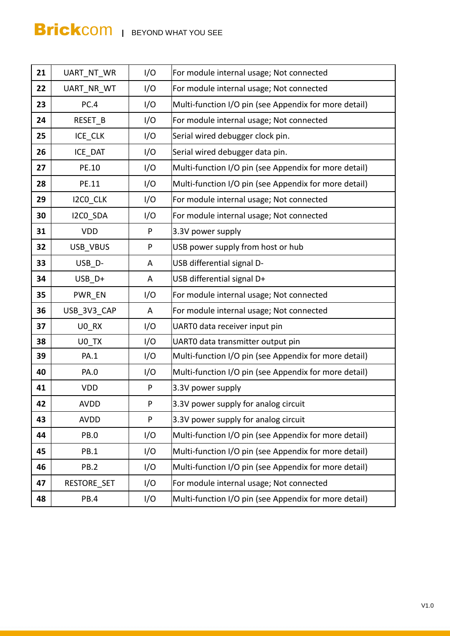| 21 | <b>UART NT WR</b> | I/O | For module internal usage; Not connected              |
|----|-------------------|-----|-------------------------------------------------------|
| 22 | UART NR WT        | I/O | For module internal usage; Not connected              |
| 23 | PC.4              | I/O | Multi-function I/O pin (see Appendix for more detail) |
| 24 | RESET_B           | I/O | For module internal usage; Not connected              |
| 25 | ICE CLK           | I/O | Serial wired debugger clock pin.                      |
| 26 | ICE DAT           | I/O | Serial wired debugger data pin.                       |
| 27 | PE.10             | I/O | Multi-function I/O pin (see Appendix for more detail) |
| 28 | PE.11             | I/O | Multi-function I/O pin (see Appendix for more detail) |
| 29 | I2CO_CLK          | I/O | For module internal usage; Not connected              |
| 30 | I2CO_SDA          | I/O | For module internal usage; Not connected              |
| 31 | <b>VDD</b>        | P   | 3.3V power supply                                     |
| 32 | USB_VBUS          | P   | USB power supply from host or hub                     |
| 33 | USB D-            | A   | USB differential signal D-                            |
| 34 | USB D+            | A   | USB differential signal D+                            |
| 35 | PWR_EN            | I/O | For module internal usage; Not connected              |
| 36 | USB_3V3_CAP       | A   | For module internal usage; Not connected              |
| 37 | U0_RX             | I/O | UARTO data receiver input pin                         |
| 38 | U0 TX             | I/O | UARTO data transmitter output pin                     |
| 39 | <b>PA.1</b>       | I/O | Multi-function I/O pin (see Appendix for more detail) |
| 40 | <b>PA.0</b>       | I/O | Multi-function I/O pin (see Appendix for more detail) |
| 41 | <b>VDD</b>        | P   | 3.3V power supply                                     |
| 42 | <b>AVDD</b>       | P   | 3.3V power supply for analog circuit                  |
| 43 | <b>AVDD</b>       | P   | 3.3V power supply for analog circuit                  |
| 44 | PB.O              | I/O | Multi-function I/O pin (see Appendix for more detail) |
| 45 | <b>PB.1</b>       | I/O | Multi-function I/O pin (see Appendix for more detail) |
| 46 | PB.2              | I/O | Multi-function I/O pin (see Appendix for more detail) |
| 47 | RESTORE SET       | I/O | For module internal usage; Not connected              |
| 48 | PB.4              | I/O | Multi-function I/O pin (see Appendix for more detail) |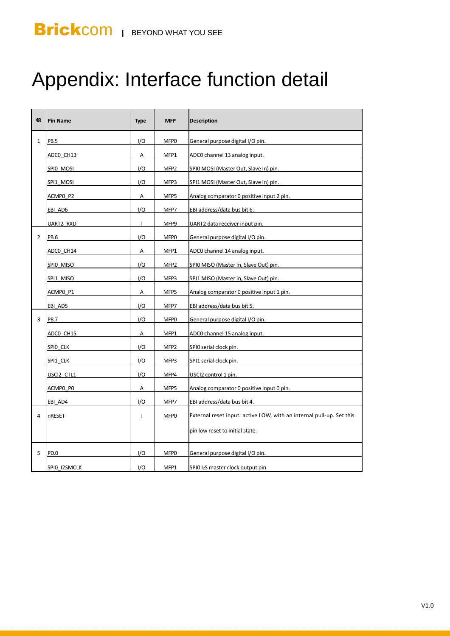## Appendix: Interface function detail

| 48             | <b>Pin Name</b> | <b>Type</b>  | <b>MFP</b>       | <b>Description</b>                                                   |
|----------------|-----------------|--------------|------------------|----------------------------------------------------------------------|
| $\mathbf{1}$   | <b>PB.5</b>     | I/O          | MFP0             | General purpose digital I/O pin.                                     |
|                | ADCO_CH13       | А            | MFP1             | ADC0 channel 13 analog input.                                        |
|                | SPIO MOSI       | 1/O          | MFP <sub>2</sub> | SPIO MOSI (Master Out, Slave In) pin.                                |
|                | SPI1_MOSI       | 1/O          | MFP3             | SPI1 MOSI (Master Out, Slave In) pin.                                |
|                | ACMPO P2        | Α            | MFP5             | Analog comparator 0 positive input 2 pin.                            |
|                | EBI AD6         | I/O          | MFP7             | EBI address/data bus bit 6.                                          |
|                | UART2 RXD       | $\mathbf{I}$ | MFP9             | UART2 data receiver input pin.                                       |
| $\overline{2}$ | PB.6            | I/O          | MFP0             | General purpose digital I/O pin.                                     |
|                | ADCO CH14       | Α            | MFP1             | ADC0 channel 14 analog input.                                        |
|                | SPIO MISO       | I/O          | MFP <sub>2</sub> | SPIO MISO (Master In, Slave Out) pin.                                |
|                | SPI1 MISO       | I/O          | MFP3             | SPI1 MISO (Master In, Slave Out) pin.                                |
|                | ACMPO P1        | A            | MFP5             | Analog comparator 0 positive input 1 pin.                            |
|                | EBI AD5         | I/O          | MFP7             | EBI address/data bus bit 5.                                          |
| 3              | <b>PB.7</b>     | 1/O          | MFP0             | General purpose digital I/O pin.                                     |
|                | ADCO_CH15       | Α            | MFP1             | ADC0 channel 15 analog input.                                        |
|                | SPIO CLK        | I/O          | MFP <sub>2</sub> | SPIO serial clock pin.                                               |
|                | SPI1_CLK        | I/O          | MFP3             | SPI1 serial clock pin.                                               |
|                | USCI2 CTL1      | I/O          | MFP4             | USCI2 control 1 pin.                                                 |
|                | ACMPO PO        | Α            | MFP5             | Analog comparator 0 positive input 0 pin.                            |
|                | EBI AD4         | 1/O          | MFP7             | EBI address/data bus bit 4.                                          |
| 4              | nRESET          | T            | MFP <sub>0</sub> | External reset input: active LOW, with an internal pull-up. Set this |
|                |                 |              |                  | pin low reset to initial state.                                      |
| 5              | PD.0            | I/O          | MFP0             | General purpose digital I/O pin.                                     |
|                | SPIO I2SMCLK    | I/O          | MFP1             | SPIO I2S master clock output pin                                     |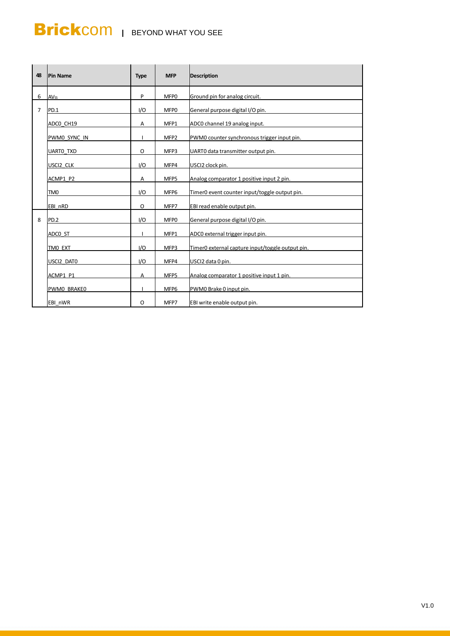| 48             | <b>Pin Name</b>  | <b>Type</b> | <b>MFP</b>       | <b>Description</b>                               |
|----------------|------------------|-------------|------------------|--------------------------------------------------|
| 6              | <b>AVss</b>      | P           | MFP0             | Ground pin for analog circuit.                   |
| $\overline{7}$ | PD.1             | I/O         | MFP0             | General purpose digital I/O pin.                 |
|                | ADCO CH19        | Α           | MFP1             | ADC0 channel 19 analog input.                    |
|                | PWM0 SYNC IN     |             | MFP <sub>2</sub> | PWM0 counter synchronous trigger input pin.      |
|                | <b>UARTO TXD</b> | O           | MFP3             | UARTO data transmitter output pin.               |
|                | USCI2 CLK        | 1/O         | MFP4             | USCI2 clock pin.                                 |
|                | ACMP1 P2         | Α           | MFP5             | Analog comparator 1 positive input 2 pin.        |
|                | TM <sub>0</sub>  | I/O         | MFP6             | Timer0 event counter input/toggle output pin.    |
|                | EBI nRD          | O           | MFP7             | EBI read enable output pin.                      |
| 8              | PD.2             | 1/O         | MFP0             | General purpose digital I/O pin.                 |
|                | ADCO ST          |             | MFP1             | ADC0 external trigger input pin.                 |
|                | TMO EXT          | 1/O         | MFP3             | Timer0 external capture input/toggle output pin. |
|                | USCI2 DATO       | 1/O         | MFP4             | USCI2 data 0 pin.                                |
|                | ACMP1 P1         | Α           | MFP5             | Analog comparator 1 positive input 1 pin.        |
|                | PWMO BRAKEO      |             | MFP6             | PWM0 Brake 0 input pin.                          |
|                | EBI nWR          | O           | MFP7             | EBI write enable output pin.                     |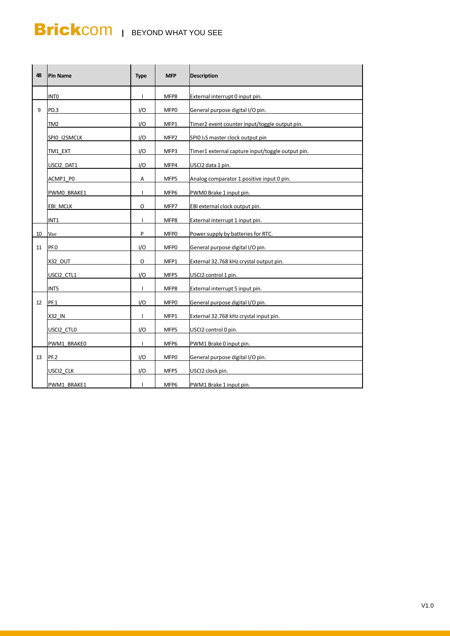| 48 | <b>Pin Name</b> | <b>Type</b>  | <b>MFP</b>       | <b>Description</b>                               |
|----|-----------------|--------------|------------------|--------------------------------------------------|
|    | <b>INTO</b>     | $\mathbf{I}$ | MFP8             | External interrupt 0 input pin.                  |
| 9  | PD.3            | 1/O          | MFP0             | General purpose digital I/O pin.                 |
|    | TM2             | I/O          | MFP1             | Timer2 event counter input/toggle output pin.    |
|    | SPIO I2SMCLK    | I/O          | MFP <sub>2</sub> | SPIO I <sub>2</sub> S master clock output pin    |
|    | TM1 EXT         | I/O          | MFP3             | Timer1 external capture input/toggle output pin. |
|    | USCI2 DAT1      | I/O          | MFP4             | USCI2 data 1 pin.                                |
|    | ACMP1 PO        | Α            | MFP5             | Analog comparator 1 positive input 0 pin.        |
|    | PWM0 BRAKE1     | $\mathbf{I}$ | MFP6             | PWM0 Brake 1 input pin.                          |
|    | EBI MCLK        | O            | MFP7             | EBI external clock output pin.                   |
|    | INT1            | $\mathbf{I}$ | MFP8             | External interrupt 1 input pin.                  |
| 10 | <b>VBAT</b>     | P            | MFP0             | Power supply by batteries for RTC.               |
| 11 | PF.O            | I/O          | MFP <sub>0</sub> | General purpose digital I/O pin.                 |
|    | <b>X32 OUT</b>  | O            | MFP1             | External 32.768 kHz crystal output pin.          |
|    | USCI2 CTL1      | I/O          | MFP5             | USCI2 control 1 pin.                             |
|    | INT5            | $\mathbf{I}$ | MFP8             | External interrupt 5 input pin.                  |
| 12 | <b>PF.1</b>     | 1/O          | MFP0             | General purpose digital I/O pin.                 |
|    | X32 IN          | т.           | MFP1             | External 32.768 kHz crystal input pin.           |
|    | USCI2 CTLO      | I/O          | MFP5             | USCI2 control 0 pin.                             |
|    | PWM1 BRAKE0     | $\mathbf{I}$ | MFP6             | PWM1 Brake 0 input pin.                          |
| 13 | PF.2            | I/O          | MFP0             | General purpose digital I/O pin.                 |
|    | USCI2 CLK       | I/O          | MFP5             | USCI2 clock pin.                                 |
|    | PWM1 BRAKE1     | $\mathbf{I}$ | MFP6             | PWM1 Brake 1 input pin.                          |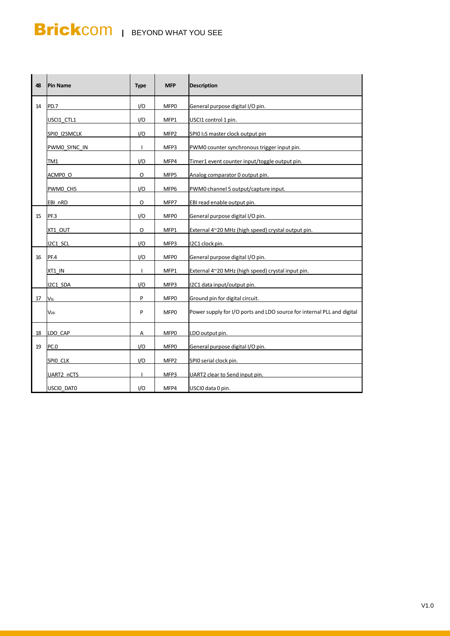| 48 | <b>Pin Name</b> | <b>Type</b>  | <b>MFP</b>       | <b>Description</b>                                                     |
|----|-----------------|--------------|------------------|------------------------------------------------------------------------|
| 14 | PD.7            | 1/O          | MFP0             | General purpose digital I/O pin.                                       |
|    | USCI1 CTL1      | I/O          | MFP1             | USCI1 control 1 pin.                                                   |
|    | SPIO I2SMCLK    | 1/O          | MFP2             | SPIO I2S master clock output pin                                       |
|    | PWM0_SYNC_IN    | ı            | MFP3             | PWM0 counter synchronous trigger input pin.                            |
|    | TM1             | I/O          | MFP4             | Timer1 event counter input/toggle output pin.                          |
|    | ACMP0 O         | O            | MFP5             | Analog comparator 0 output pin.                                        |
|    | PWM0 CH5        | I/O          | MFP6             | PWM0 channel 5 output/capture input.                                   |
|    | EBI nRD         | O            | MFP7             | EBI read enable output pin.                                            |
| 15 | <b>PF.3</b>     | I/O          | MFP0             | General purpose digital I/O pin.                                       |
|    | XT1 OUT         | O            | MFP1             | External 4~20 MHz (high speed) crystal output pin.                     |
|    | I2C1 SCL        | I/O          | MFP3             | I2C1 clock pin.                                                        |
| 16 | PF.4            | I/O          | MFP0             | General purpose digital I/O pin.                                       |
|    | XT1 IN          | $\mathbf{I}$ | MFP1             | External 4~20 MHz (high speed) crystal input pin.                      |
|    | I2C1 SDA        | I/O          | MFP3             | I2C1 data input/output pin.                                            |
| 17 | <b>Vss</b>      | P            | MFP0             | Ground pin for digital circuit.                                        |
|    | V <sub>DD</sub> | P            | MFP <sub>0</sub> | Power supply for I/O ports and LDO source for internal PLL and digital |
| 18 | LDO CAP         | Α            | MFP <sub>0</sub> | LDO output pin.                                                        |
| 19 | PC.0            | I/O          | MFP0             | General purpose digital I/O pin.                                       |
|    | SPIO CLK        | 1/O          | MFP <sub>2</sub> | SPIO serial clock pin.                                                 |
|    | UART2 nCTS      | $\mathbf{I}$ | MFP3             | UART2 clear to Send input pin.                                         |
|    | USCIO DATO      | I/O          | MFP4             | USCIO data 0 pin.                                                      |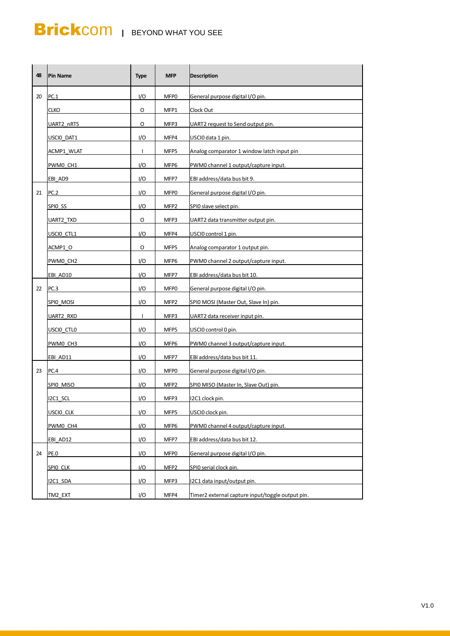| 48 | <b>Pin Name</b> | <b>Type</b>  | <b>MFP</b>       | <b>Description</b>                               |
|----|-----------------|--------------|------------------|--------------------------------------------------|
| 20 | PC.1            | I/O          | MFP <sub>0</sub> | General purpose digital I/O pin.                 |
|    | CLKO            | O            | MFP1             | Clock Out                                        |
|    | UART2 nRTS      | O            | MFP3             | UART2 request to Send output pin.                |
|    | USCIO DAT1      | I/O          | MFP4             | USCIO data 1 pin.                                |
|    | ACMP1 WLAT      | $\mathbf{I}$ | MFP5             | Analog comparator 1 window latch input pin       |
|    | PWM0 CH1        | I/O          | MFP6             | PWM0 channel 1 output/capture input.             |
|    | EBI AD9         | I/O          | MFP7             | EBI address/data bus bit 9.                      |
| 21 | PC.2            | I/O          | MFP0             | General purpose digital I/O pin.                 |
|    | SPIO SS         | I/O          | MFP <sub>2</sub> | SPIO slave select pin.                           |
|    | UART2_TXD       | O            | MFP3             | UART2 data transmitter output pin.               |
|    | USCIO CTL1      | 1/O          | MFP4             | USCIO control 1 pin.                             |
|    | ACMP1 O         | O            | MFP5             | Analog comparator 1 output pin.                  |
|    | PWM0 CH2        | I/O          | MFP6             | PWM0 channel 2 output/capture input.             |
|    | EBI AD10        | I/O          | MFP7             | EBI address/data bus bit 10.                     |
| 22 | PC.3            | I/O          | MFP0             | General purpose digital I/O pin.                 |
|    | SPIO_MOSI       | I/O          | MFP <sub>2</sub> | SPIO MOSI (Master Out, Slave In) pin.            |
|    | UART2 RXD       | $\mathbf{I}$ | MFP3             | UART2 data receiver input pin.                   |
|    | USCIO CTLO      | I/O          | MFP5             | USCIO control 0 pin.                             |
|    | PWM0 CH3        | I/O          | MFP6             | PWM0 channel 3 output/capture input.             |
|    | EBI AD11        | I/O          | MFP7             | EBI address/data bus bit 11.                     |
| 23 | PC.4            | I/O          | MFP0             | General purpose digital I/O pin.                 |
|    | SPIO MISO       | I/O          | MFP <sub>2</sub> | SPIO MISO (Master In, Slave Out) pin.            |
|    | I2C1 SCL        | 1/O          | MFP3             | I2C1 clock pin.                                  |
|    | USCIO CLK       | I/O          | MFP5             | USCIO clock pin.                                 |
|    | PWM0_CH4        | 1/O          | MFP6             | PWM0 channel 4 output/capture input.             |
|    | EBI AD12        | I/O          | MFP7             | EBI address/data bus bit 12.                     |
| 24 | PE.O            | I/O          | MFP0             | General purpose digital I/O pin.                 |
|    | SPIO CLK        | I/O          | MFP <sub>2</sub> | SPIO serial clock pin.                           |
|    | I2C1 SDA        | I/O          | MFP3             | I2C1 data input/output pin.                      |
|    | TM2 EXT         | I/O          | MFP4             | Timer2 external capture input/toggle output pin. |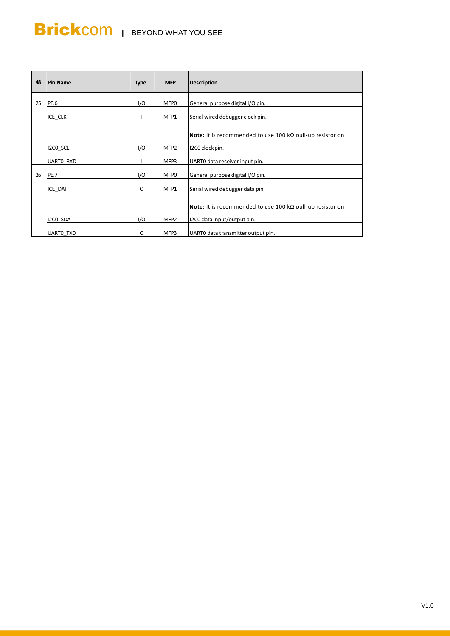| 48 | <b>Pin Name</b>  | <b>Type</b> | <b>MFP</b>       | <b>Description</b>                                        |
|----|------------------|-------------|------------------|-----------------------------------------------------------|
| 25 | PE.6             | I/O         | MFP <sub>0</sub> | General purpose digital I/O pin.                          |
|    | ICE CLK          |             | MFP1             | Serial wired debugger clock pin.                          |
|    |                  |             |                  | Note: It is recommended to use 100 kQ pull-up resistor on |
|    | I2CO SCL         | I/O         | MFP <sub>2</sub> | I2C0 clock pin.                                           |
|    | <b>UARTO RXD</b> |             | MFP3             | UARTO data receiver input pin.                            |
| 26 | <b>PE.7</b>      | I/O         | MFP0             | General purpose digital I/O pin.                          |
|    | ICE DAT          | O           | MFP1             | Serial wired debugger data pin.                           |
|    |                  |             |                  | Note: It is recommended to use 100 kO pull-up resistor on |
|    | I2CO SDA         | I/O         | MFP <sub>2</sub> | I2C0 data input/output pin.                               |
|    | <b>UARTO TXD</b> | O           | MFP3             | UARTO data transmitter output pin.                        |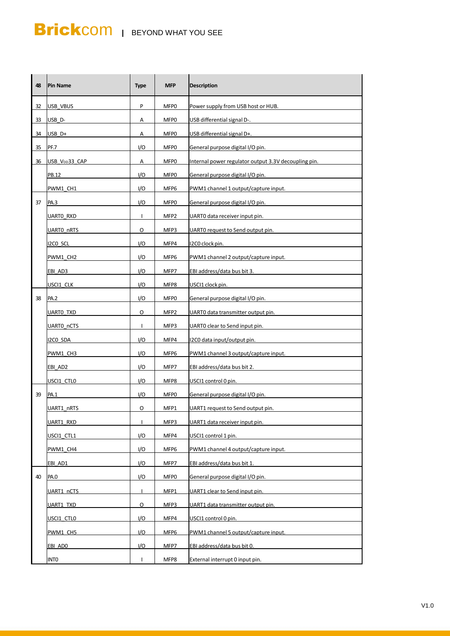| 48 | <b>Pin Name</b>            | <b>Type</b>  | <b>MFP</b>       | <b>Description</b>                                   |
|----|----------------------------|--------------|------------------|------------------------------------------------------|
| 32 | <b>USB VBUS</b>            | P            | MFP0             | Power supply from USB host or HUB.                   |
| 33 | USB <sub>D</sub> -         | Α            | MFP0             | USB differential signal D-.                          |
| 34 | USB D+                     | Α            | MFP0             | USB differential signal D+.                          |
| 35 | PF.7                       | I/O          | MFP0             | General purpose digital I/O pin.                     |
| 36 | USB V <sub>DD</sub> 33 CAP | А            | MFP <sub>0</sub> | Internal power regulator output 3.3V decoupling pin. |
|    | PB.12                      | I/O          | MFP0             | General purpose digital I/O pin.                     |
|    | PWM1 CH1                   | I/O          | MFP6             | PWM1 channel 1 output/capture input.                 |
| 37 | PA.3                       | I/O          | MFP0             | General purpose digital I/O pin.                     |
|    | UARTO RXD                  | T            | MFP <sub>2</sub> | UARTO data receiver input pin.                       |
|    | UARTO_nRTS                 | O            | MFP3             | UARTO request to Send output pin.                    |
|    | I2CO SCL                   | I/O          | MFP4             | I2C0 clock pin.                                      |
|    | PWM1 CH2                   | I/O          | MFP6             | PWM1 channel 2 output/capture input.                 |
|    | EBI AD3                    | I/O          | MFP7             | EBI address/data bus bit 3.                          |
|    | USCI1 CLK                  | I/O          | MFP8             | USCI1 clock pin.                                     |
| 38 | PA.2                       | I/O          | MFP0             | General purpose digital I/O pin.                     |
|    | UARTO TXD                  | 0            | MFP <sub>2</sub> | UARTO data transmitter output pin.                   |
|    | UARTO_nCTS                 | $\mathbf{I}$ | MFP3             | UARTO clear to Send input pin.                       |
|    | I2CO SDA                   | I/O          | MFP4             | I2C0 data input/output pin.                          |
|    | PWM1 CH3                   | I/O          | MFP6             | PWM1 channel 3 output/capture input.                 |
|    | EBI AD2                    | I/O          | MFP7             | EBI address/data bus bit 2.                          |
|    | USCI1 CTLO                 | I/O          | MFP8             | USCI1 control 0 pin.                                 |
| 39 | PA.1                       | I/O          | MFP0             | General purpose digital I/O pin.                     |
|    | UART1 nRTS                 | O            | MFP1             | UART1 request to Send output pin.                    |
|    | UART1 RXD                  | $\mathbf{I}$ | MFP3             | UART1 data receiver input pin.                       |
|    | usci1_ctl1                 | 1/O          | MFP4             | USCI1 control 1 pin.                                 |
|    | PWM1 CH4                   | I/O          | MFP6             | PWM1 channel 4 output/capture input.                 |
|    | EBI_AD1                    | I/O          | MFP7             | EBI address/data bus bit 1.                          |
| 40 | PA.O                       | I/O          | MFP0             | General purpose digital I/O pin.                     |
|    | UART1 nCTS                 | $\mathbf{I}$ | MFP1             | UART1 clear to Send input pin.                       |
|    | UART1 TXD                  | O            | MFP3             | UART1 data transmitter output pin.                   |
|    | USCI1 CTLO                 | I/O          | MFP4             | USCI1 control 0 pin.                                 |
|    | PWM1 CH5                   | 1/O          | MFP6             | PWM1 channel 5 output/capture input.                 |
|    | EBI ADO                    | I/O          | MFP7             | EBI address/data bus bit 0.                          |
|    | <b>INTO</b>                | $\mathbf{I}$ | MFP8             | External interrupt 0 input pin.                      |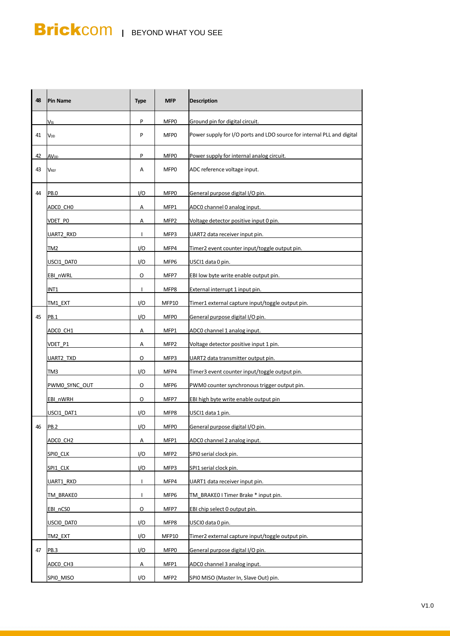| P<br>MFP0<br>Ground pin for digital circuit.<br>Vss<br>Power supply for I/O ports and LDO source for internal PLL and digital<br>41<br>P<br>MFP <sub>0</sub><br>V <sub>DD</sub><br>P<br>Power supply for internal analog circuit.<br>42<br>MFP0<br><b>AV<sub>DD</sub></b><br>43<br>ADC reference voltage input.<br>Α<br>MFP0<br><b>VREF</b><br>44<br>I/O<br>PB.O<br>MFP0<br>General purpose digital I/O pin.<br>ADCO_CHO<br>Α<br>MFP1<br>ADC0 channel 0 analog input.<br>Voltage detector positive input 0 pin.<br>VDET PO<br>MFP <sub>2</sub><br>Α<br>MFP3<br>UART2 data receiver input pin.<br>UART2_RXD<br>$\mathbf{I}$<br>TM <sub>2</sub><br>I/O<br>MFP4<br>Timer2 event counter input/toggle output pin.<br>I/O<br>MFP6<br>USCI1 data 0 pin.<br>USCI1 DATO<br>EBI low byte write enable output pin.<br>EBI nWRL<br>O<br>MFP7 |  |
|-----------------------------------------------------------------------------------------------------------------------------------------------------------------------------------------------------------------------------------------------------------------------------------------------------------------------------------------------------------------------------------------------------------------------------------------------------------------------------------------------------------------------------------------------------------------------------------------------------------------------------------------------------------------------------------------------------------------------------------------------------------------------------------------------------------------------------------|--|
|                                                                                                                                                                                                                                                                                                                                                                                                                                                                                                                                                                                                                                                                                                                                                                                                                                   |  |
|                                                                                                                                                                                                                                                                                                                                                                                                                                                                                                                                                                                                                                                                                                                                                                                                                                   |  |
|                                                                                                                                                                                                                                                                                                                                                                                                                                                                                                                                                                                                                                                                                                                                                                                                                                   |  |
|                                                                                                                                                                                                                                                                                                                                                                                                                                                                                                                                                                                                                                                                                                                                                                                                                                   |  |
|                                                                                                                                                                                                                                                                                                                                                                                                                                                                                                                                                                                                                                                                                                                                                                                                                                   |  |
|                                                                                                                                                                                                                                                                                                                                                                                                                                                                                                                                                                                                                                                                                                                                                                                                                                   |  |
|                                                                                                                                                                                                                                                                                                                                                                                                                                                                                                                                                                                                                                                                                                                                                                                                                                   |  |
|                                                                                                                                                                                                                                                                                                                                                                                                                                                                                                                                                                                                                                                                                                                                                                                                                                   |  |
|                                                                                                                                                                                                                                                                                                                                                                                                                                                                                                                                                                                                                                                                                                                                                                                                                                   |  |
|                                                                                                                                                                                                                                                                                                                                                                                                                                                                                                                                                                                                                                                                                                                                                                                                                                   |  |
|                                                                                                                                                                                                                                                                                                                                                                                                                                                                                                                                                                                                                                                                                                                                                                                                                                   |  |
| External interrupt 1 input pin.<br>INT1<br>$\mathsf{I}$<br>MFP8                                                                                                                                                                                                                                                                                                                                                                                                                                                                                                                                                                                                                                                                                                                                                                   |  |
| I/O<br>Timer1 external capture input/toggle output pin.<br>TM1 EXT<br>MFP10                                                                                                                                                                                                                                                                                                                                                                                                                                                                                                                                                                                                                                                                                                                                                       |  |
| 45<br>I/O<br>General purpose digital I/O pin.<br>PB.1<br>MFP0                                                                                                                                                                                                                                                                                                                                                                                                                                                                                                                                                                                                                                                                                                                                                                     |  |
| MFP1<br>ADC0 channel 1 analog input.<br>ADCO CH1<br>Α                                                                                                                                                                                                                                                                                                                                                                                                                                                                                                                                                                                                                                                                                                                                                                             |  |
| MFP <sub>2</sub><br>Voltage detector positive input 1 pin.<br>VDET P1<br>Α                                                                                                                                                                                                                                                                                                                                                                                                                                                                                                                                                                                                                                                                                                                                                        |  |
| O<br>MFP3<br>UART2 data transmitter output pin.<br>UART2 TXD                                                                                                                                                                                                                                                                                                                                                                                                                                                                                                                                                                                                                                                                                                                                                                      |  |
| I/O<br>MFP4<br>Timer3 event counter input/toggle output pin.<br>TM3                                                                                                                                                                                                                                                                                                                                                                                                                                                                                                                                                                                                                                                                                                                                                               |  |
| MFP6<br>PWM0 counter synchronous trigger output pin.<br>PWM0 SYNC OUT<br>O                                                                                                                                                                                                                                                                                                                                                                                                                                                                                                                                                                                                                                                                                                                                                        |  |
| MFP7<br>EBI high byte write enable output pin<br>EBI nWRH<br>O                                                                                                                                                                                                                                                                                                                                                                                                                                                                                                                                                                                                                                                                                                                                                                    |  |
| USCI1 DAT1<br>I/O<br>MFP8<br>USCI1 data 1 pin.                                                                                                                                                                                                                                                                                                                                                                                                                                                                                                                                                                                                                                                                                                                                                                                    |  |
| <b>PB.2</b><br>46<br>1/O<br>MFP0<br>General purpose digital I/O pin.                                                                                                                                                                                                                                                                                                                                                                                                                                                                                                                                                                                                                                                                                                                                                              |  |
| ADCO_CH2<br>MFP1<br>ADC0 channel 2 analog input.<br>А                                                                                                                                                                                                                                                                                                                                                                                                                                                                                                                                                                                                                                                                                                                                                                             |  |
| I/O<br>SPIO CLK<br>MFP <sub>2</sub><br>SPIO serial clock pin.                                                                                                                                                                                                                                                                                                                                                                                                                                                                                                                                                                                                                                                                                                                                                                     |  |
| I/O<br>SPI1_CLK<br>MFP3<br>SPI1 serial clock pin.                                                                                                                                                                                                                                                                                                                                                                                                                                                                                                                                                                                                                                                                                                                                                                                 |  |
| $\mathbf{I}$<br>UART1 RXD<br>MFP4<br>UART1 data receiver input pin.                                                                                                                                                                                                                                                                                                                                                                                                                                                                                                                                                                                                                                                                                                                                                               |  |
| TM BRAKEO I Timer Brake * input pin.<br>TM BRAKEO<br>$\mathbf{I}$<br>MFP6                                                                                                                                                                                                                                                                                                                                                                                                                                                                                                                                                                                                                                                                                                                                                         |  |
| O<br>EBI nCSO<br>MFP7<br>EBI chip select 0 output pin.                                                                                                                                                                                                                                                                                                                                                                                                                                                                                                                                                                                                                                                                                                                                                                            |  |
| 1/O<br>MFP8<br>USCIO data 0 pin.<br>USCIO_DATO                                                                                                                                                                                                                                                                                                                                                                                                                                                                                                                                                                                                                                                                                                                                                                                    |  |
| I/O<br>Timer2 external capture input/toggle output pin.<br>TM2 EXT<br><b>MFP10</b>                                                                                                                                                                                                                                                                                                                                                                                                                                                                                                                                                                                                                                                                                                                                                |  |
| I/O<br>47<br>MFP0<br>General purpose digital I/O pin.<br>PB.3                                                                                                                                                                                                                                                                                                                                                                                                                                                                                                                                                                                                                                                                                                                                                                     |  |
| MFP1<br>ADC0 channel 3 analog input.<br>А                                                                                                                                                                                                                                                                                                                                                                                                                                                                                                                                                                                                                                                                                                                                                                                         |  |
| ADCO CH3<br>I/O<br>SPIO MISO (Master In, Slave Out) pin.<br>SPIO_MISO<br>MFP <sub>2</sub>                                                                                                                                                                                                                                                                                                                                                                                                                                                                                                                                                                                                                                                                                                                                         |  |